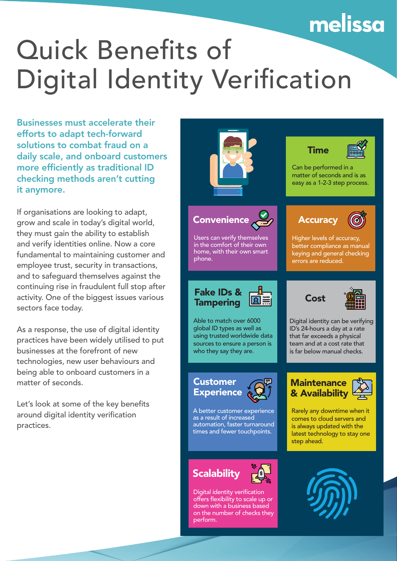## melissa

## Quick Benefits of Digital Identity Verification

Businesses must accelerate their efforts to adapt tech-forward solutions to combat fraud on a daily scale, and onboard customers more efficiently as traditional ID checking methods aren't cutting it anymore.

If organisations are looking to adapt, grow and scale in today's digital world, they must gain the ability to establish and verify identities online. Now a core fundamental to maintaining customer and employee trust, security in transactions, and to safeguard themselves against the continuing rise in fraudulent full stop after activity. One of the biggest issues various sectors face today.

As a response, the use of digital identity practices have been widely utilised to put businesses at the forefront of new technologies, new user behaviours and being able to onboard customers in a matter of seconds.

Let's look at some of the key benefits around digital identity verification practices.